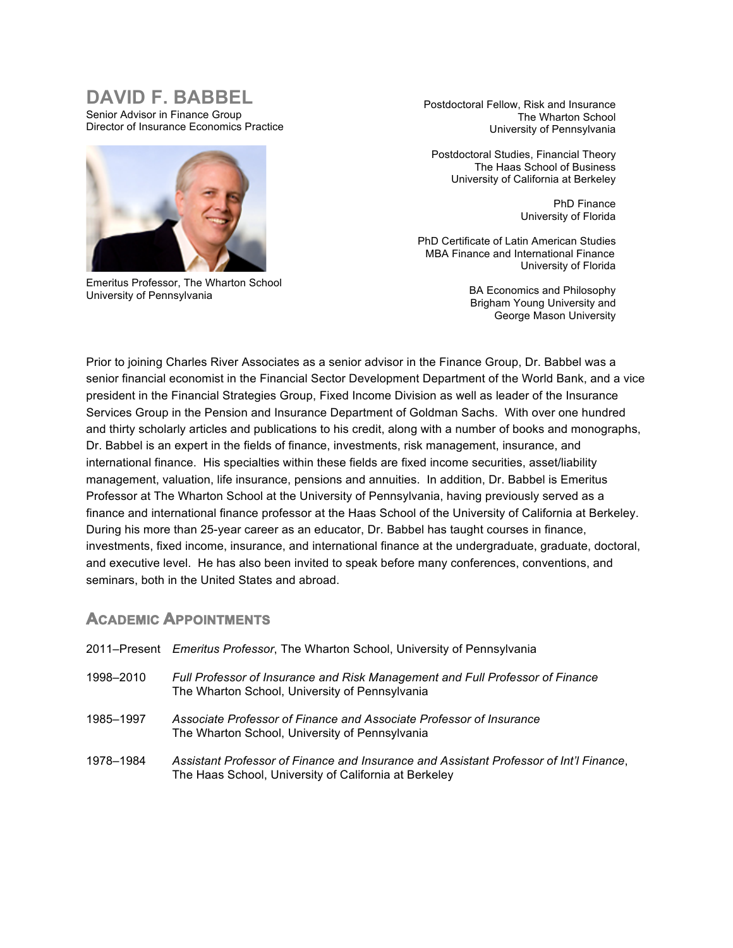# **DAVID F. BABBEL**

Senior Advisor in Finance Group Director of Insurance Economics Practice



Emeritus Professor, The Wharton School University of Pennsylvania

Postdoctoral Fellow, Risk and Insurance The Wharton School University of Pennsylvania

Postdoctoral Studies, Financial Theory The Haas School of Business University of California at Berkeley

> PhD Finance University of Florida

PhD Certificate of Latin American Studies MBA Finance and International Finance University of Florida

> BA Economics and Philosophy Brigham Young University and George Mason University

Prior to joining Charles River Associates as a senior advisor in the Finance Group, Dr. Babbel was a senior financial economist in the Financial Sector Development Department of the World Bank, and a vice president in the Financial Strategies Group, Fixed Income Division as well as leader of the Insurance Services Group in the Pension and Insurance Department of Goldman Sachs. With over one hundred and thirty scholarly articles and publications to his credit, along with a number of books and monographs, Dr. Babbel is an expert in the fields of finance, investments, risk management, insurance, and international finance. His specialties within these fields are fixed income securities, asset/liability management, valuation, life insurance, pensions and annuities. In addition, Dr. Babbel is Emeritus Professor at The Wharton School at the University of Pennsylvania, having previously served as a finance and international finance professor at the Haas School of the University of California at Berkeley. During his more than 25-year career as an educator, Dr. Babbel has taught courses in finance, investments, fixed income, insurance, and international finance at the undergraduate, graduate, doctoral, and executive level. He has also been invited to speak before many conferences, conventions, and seminars, both in the United States and abroad.

## **ACADEMIC APPOINTMENTS**

|           | 2011–Present Emeritus Professor, The Wharton School, University of Pennsylvania                                                                 |
|-----------|-------------------------------------------------------------------------------------------------------------------------------------------------|
| 1998-2010 | Full Professor of Insurance and Risk Management and Full Professor of Finance<br>The Wharton School, University of Pennsylvania                 |
| 1985-1997 | Associate Professor of Finance and Associate Professor of Insurance<br>The Wharton School, University of Pennsylvania                           |
| 1978–1984 | Assistant Professor of Finance and Insurance and Assistant Professor of Int'l Finance,<br>The Haas School, University of California at Berkeley |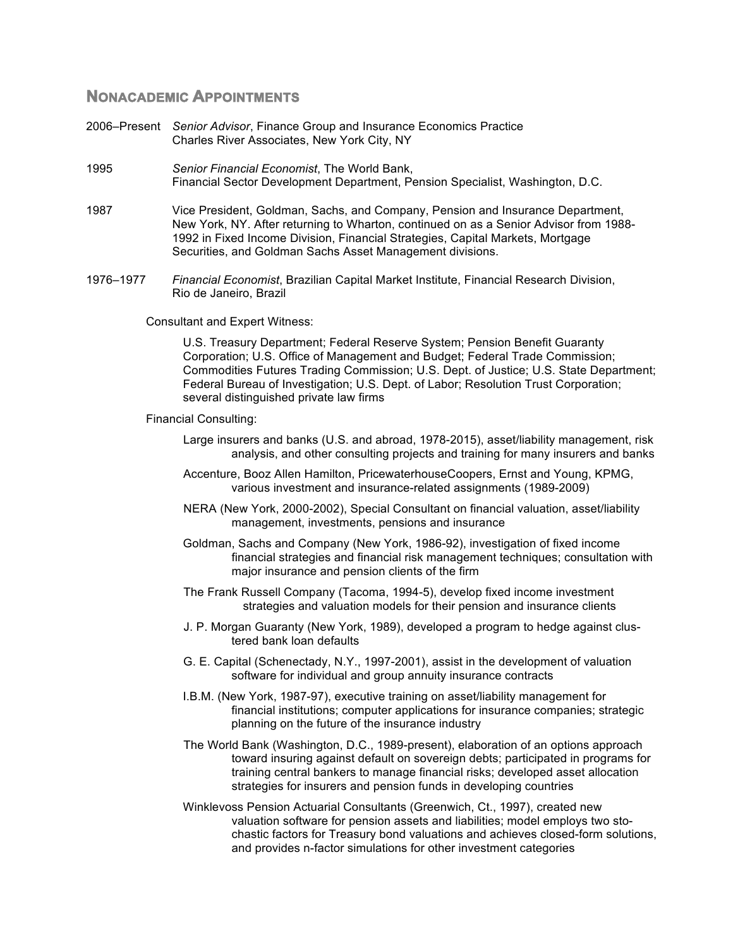#### **NONACADEMIC APPOINTMENTS**

- 2006–Present *Senior Advisor*, Finance Group and Insurance Economics Practice Charles River Associates, New York City, NY
- 1995 *Senior Financial Economist*, The World Bank, Financial Sector Development Department, Pension Specialist, Washington, D.C.
- 1987 Vice President, Goldman, Sachs, and Company, Pension and Insurance Department, New York, NY. After returning to Wharton, continued on as a Senior Advisor from 1988- 1992 in Fixed Income Division, Financial Strategies, Capital Markets, Mortgage Securities, and Goldman Sachs Asset Management divisions.
- 1976–1977 *Financial Economist*, Brazilian Capital Market Institute, Financial Research Division, Rio de Janeiro, Brazil

Consultant and Expert Witness:

U.S. Treasury Department; Federal Reserve System; Pension Benefit Guaranty Corporation; U.S. Office of Management and Budget; Federal Trade Commission; Commodities Futures Trading Commission; U.S. Dept. of Justice; U.S. State Department; Federal Bureau of Investigation; U.S. Dept. of Labor; Resolution Trust Corporation; several distinguished private law firms

Financial Consulting:

- Large insurers and banks (U.S. and abroad, 1978-2015), asset/liability management, risk analysis, and other consulting projects and training for many insurers and banks
- Accenture, Booz Allen Hamilton, PricewaterhouseCoopers, Ernst and Young, KPMG, various investment and insurance-related assignments (1989-2009)
- NERA (New York, 2000-2002), Special Consultant on financial valuation, asset/liability management, investments, pensions and insurance
- Goldman, Sachs and Company (New York, 1986-92), investigation of fixed income financial strategies and financial risk management techniques; consultation with major insurance and pension clients of the firm
- The Frank Russell Company (Tacoma, 1994-5), develop fixed income investment strategies and valuation models for their pension and insurance clients
- J. P. Morgan Guaranty (New York, 1989), developed a program to hedge against clustered bank loan defaults
- G. E. Capital (Schenectady, N.Y., 1997-2001), assist in the development of valuation software for individual and group annuity insurance contracts
- I.B.M. (New York, 1987-97), executive training on asset/liability management for financial institutions; computer applications for insurance companies; strategic planning on the future of the insurance industry
- The World Bank (Washington, D.C., 1989-present), elaboration of an options approach toward insuring against default on sovereign debts; participated in programs for training central bankers to manage financial risks; developed asset allocation strategies for insurers and pension funds in developing countries
- Winklevoss Pension Actuarial Consultants (Greenwich, Ct., 1997), created new valuation software for pension assets and liabilities; model employs two stochastic factors for Treasury bond valuations and achieves closed-form solutions, and provides n-factor simulations for other investment categories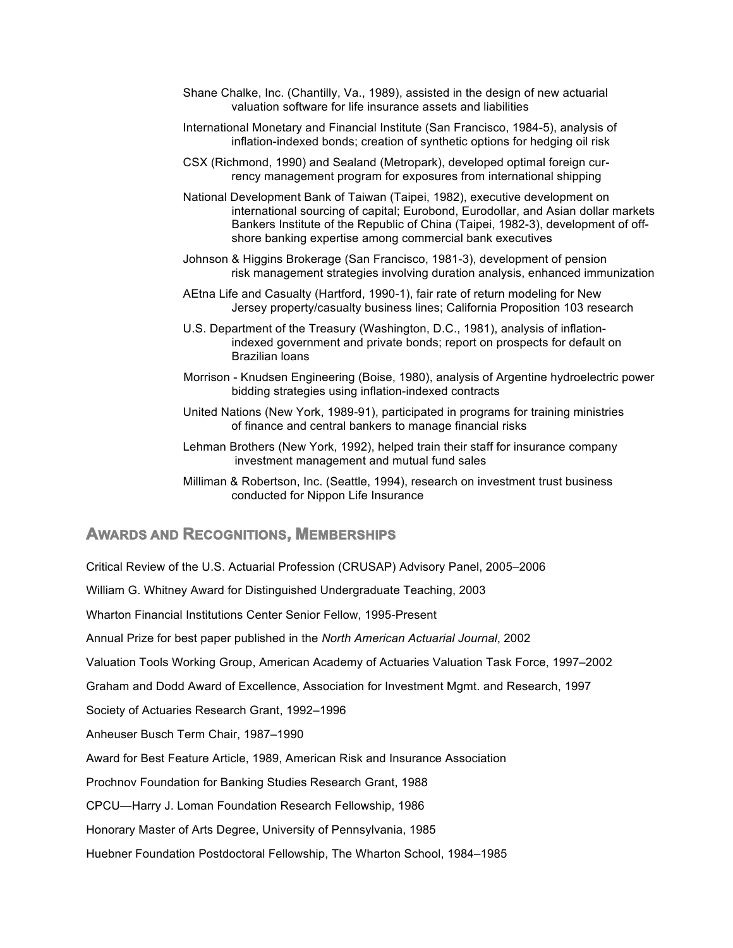- Shane Chalke, Inc. (Chantilly, Va., 1989), assisted in the design of new actuarial valuation software for life insurance assets and liabilities
- International Monetary and Financial Institute (San Francisco, 1984-5), analysis of inflation-indexed bonds; creation of synthetic options for hedging oil risk
- CSX (Richmond, 1990) and Sealand (Metropark), developed optimal foreign currency management program for exposures from international shipping
- National Development Bank of Taiwan (Taipei, 1982), executive development on international sourcing of capital; Eurobond, Eurodollar, and Asian dollar markets Bankers Institute of the Republic of China (Taipei, 1982-3), development of offshore banking expertise among commercial bank executives
- Johnson & Higgins Brokerage (San Francisco, 1981-3), development of pension risk management strategies involving duration analysis, enhanced immunization
- AEtna Life and Casualty (Hartford, 1990-1), fair rate of return modeling for New Jersey property/casualty business lines; California Proposition 103 research
- U.S. Department of the Treasury (Washington, D.C., 1981), analysis of inflationindexed government and private bonds; report on prospects for default on Brazilian loans
- Morrison Knudsen Engineering (Boise, 1980), analysis of Argentine hydroelectric power bidding strategies using inflation-indexed contracts
- United Nations (New York, 1989-91), participated in programs for training ministries of finance and central bankers to manage financial risks
- Lehman Brothers (New York, 1992), helped train their staff for insurance company investment management and mutual fund sales
- Milliman & Robertson, Inc. (Seattle, 1994), research on investment trust business conducted for Nippon Life Insurance

#### **AWARDS AND RECOGNITIONS, MEMBERSHIPS**

Critical Review of the U.S. Actuarial Profession (CRUSAP) Advisory Panel, 2005–2006 William G. Whitney Award for Distinguished Undergraduate Teaching, 2003 Wharton Financial Institutions Center Senior Fellow, 1995-Present Annual Prize for best paper published in the *North American Actuarial Journal*, 2002 Valuation Tools Working Group, American Academy of Actuaries Valuation Task Force, 1997–2002 Graham and Dodd Award of Excellence, Association for Investment Mgmt. and Research, 1997 Society of Actuaries Research Grant, 1992–1996 Anheuser Busch Term Chair, 1987–1990 Award for Best Feature Article, 1989, American Risk and Insurance Association Prochnov Foundation for Banking Studies Research Grant, 1988 CPCU—Harry J. Loman Foundation Research Fellowship, 1986 Honorary Master of Arts Degree, University of Pennsylvania, 1985 Huebner Foundation Postdoctoral Fellowship, The Wharton School, 1984–1985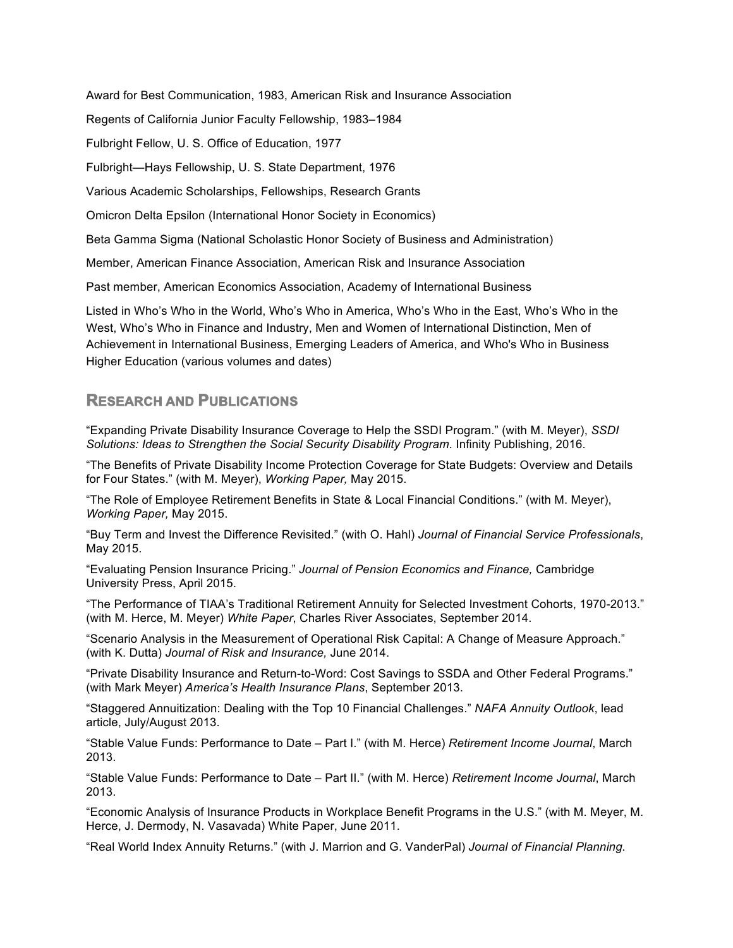Award for Best Communication, 1983, American Risk and Insurance Association

Regents of California Junior Faculty Fellowship, 1983–1984

Fulbright Fellow, U. S. Office of Education, 1977

Fulbright—Hays Fellowship, U. S. State Department, 1976

Various Academic Scholarships, Fellowships, Research Grants

Omicron Delta Epsilon (International Honor Society in Economics)

Beta Gamma Sigma (National Scholastic Honor Society of Business and Administration)

Member, American Finance Association, American Risk and Insurance Association

Past member, American Economics Association, Academy of International Business

Listed in Who's Who in the World, Who's Who in America, Who's Who in the East, Who's Who in the West, Who's Who in Finance and Industry, Men and Women of International Distinction, Men of Achievement in International Business, Emerging Leaders of America, and Who's Who in Business Higher Education (various volumes and dates)

# **RESEARCH AND PUBLICATIONS**

"Expanding Private Disability Insurance Coverage to Help the SSDI Program." (with M. Meyer), *SSDI Solutions: Ideas to Strengthen the Social Security Disability Program.* Infinity Publishing, 2016.

"The Benefits of Private Disability Income Protection Coverage for State Budgets: Overview and Details for Four States." (with M. Meyer), *Working Paper,* May 2015.

"The Role of Employee Retirement Benefits in State & Local Financial Conditions." (with M. Meyer), *Working Paper,* May 2015.

"Buy Term and Invest the Difference Revisited." (with O. Hahl) *Journal of Financial Service Professionals*, May 2015.

"Evaluating Pension Insurance Pricing." *Journal of Pension Economics and Finance,* Cambridge University Press, April 2015.

"The Performance of TIAA's Traditional Retirement Annuity for Selected Investment Cohorts, 1970-2013." (with M. Herce, M. Meyer) *White Paper*, Charles River Associates, September 2014.

"Scenario Analysis in the Measurement of Operational Risk Capital: A Change of Measure Approach." (with K. Dutta) *Journal of Risk and Insurance,* June 2014.

"Private Disability Insurance and Return-to-Word: Cost Savings to SSDA and Other Federal Programs." (with Mark Meyer) *America's Health Insurance Plans*, September 2013.

"Staggered Annuitization: Dealing with the Top 10 Financial Challenges." *NAFA Annuity Outlook*, lead article, July/August 2013.

"Stable Value Funds: Performance to Date – Part I." (with M. Herce) *Retirement Income Journal*, March 2013.

"Stable Value Funds: Performance to Date – Part II." (with M. Herce) *Retirement Income Journal*, March 2013.

"Economic Analysis of Insurance Products in Workplace Benefit Programs in the U.S." (with M. Meyer, M. Herce, J. Dermody, N. Vasavada) White Paper, June 2011.

"Real World Index Annuity Returns." (with J. Marrion and G. VanderPal) *Journal of Financial Planning.*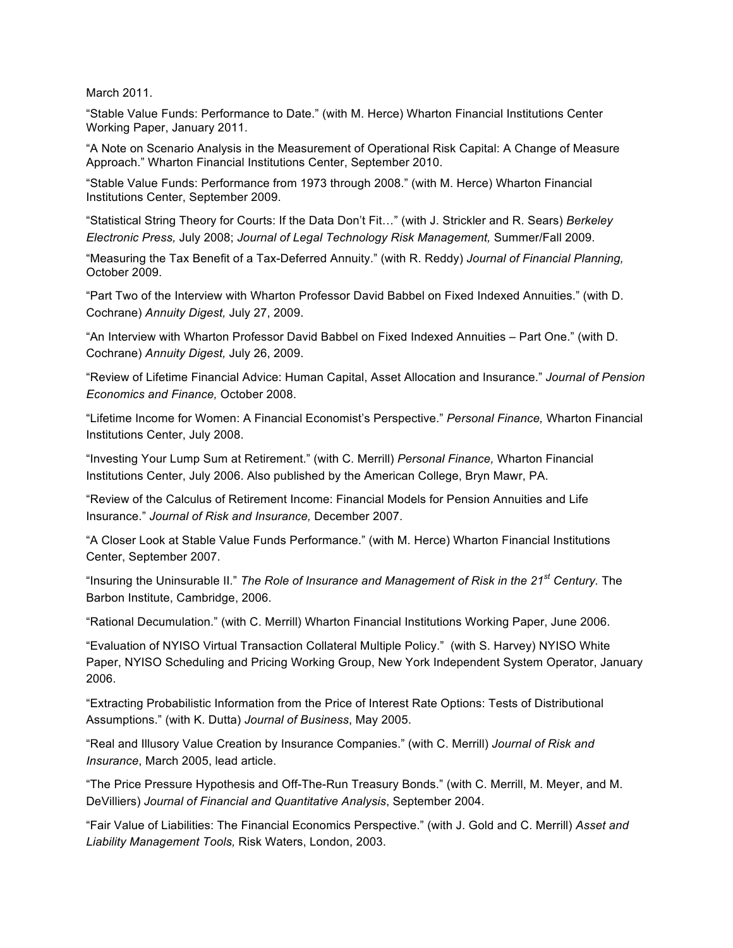March 2011.

"Stable Value Funds: Performance to Date." (with M. Herce) Wharton Financial Institutions Center Working Paper, January 2011.

"A Note on Scenario Analysis in the Measurement of Operational Risk Capital: A Change of Measure Approach." Wharton Financial Institutions Center, September 2010.

"Stable Value Funds: Performance from 1973 through 2008." (with M. Herce) Wharton Financial Institutions Center, September 2009.

"Statistical String Theory for Courts: If the Data Don't Fit…" (with J. Strickler and R. Sears) *Berkeley Electronic Press,* July 2008; *Journal of Legal Technology Risk Management,* Summer/Fall 2009.

"Measuring the Tax Benefit of a Tax-Deferred Annuity." (with R. Reddy) *Journal of Financial Planning,* October 2009.

"Part Two of the Interview with Wharton Professor David Babbel on Fixed Indexed Annuities." (with D. Cochrane) *Annuity Digest,* July 27, 2009.

"An Interview with Wharton Professor David Babbel on Fixed Indexed Annuities – Part One." (with D. Cochrane) *Annuity Digest,* July 26, 2009.

"Review of Lifetime Financial Advice: Human Capital, Asset Allocation and Insurance." *Journal of Pension Economics and Finance,* October 2008.

"Lifetime Income for Women: A Financial Economist's Perspective." *Personal Finance,* Wharton Financial Institutions Center, July 2008.

"Investing Your Lump Sum at Retirement." (with C. Merrill) *Personal Finance,* Wharton Financial Institutions Center, July 2006. Also published by the American College, Bryn Mawr, PA.

"Review of the Calculus of Retirement Income: Financial Models for Pension Annuities and Life Insurance." *Journal of Risk and Insurance,* December 2007.

"A Closer Look at Stable Value Funds Performance." (with M. Herce) Wharton Financial Institutions Center, September 2007.

"Insuring the Uninsurable II." *The Role of Insurance and Management of Risk in the 21st Century.* The Barbon Institute, Cambridge, 2006.

"Rational Decumulation." (with C. Merrill) Wharton Financial Institutions Working Paper, June 2006.

"Evaluation of NYISO Virtual Transaction Collateral Multiple Policy." (with S. Harvey) NYISO White Paper, NYISO Scheduling and Pricing Working Group, New York Independent System Operator, January 2006.

"Extracting Probabilistic Information from the Price of Interest Rate Options: Tests of Distributional Assumptions." (with K. Dutta) *Journal of Business*, May 2005.

"Real and Illusory Value Creation by Insurance Companies." (with C. Merrill) *Journal of Risk and Insurance*, March 2005, lead article.

"The Price Pressure Hypothesis and Off-The-Run Treasury Bonds." (with C. Merrill, M. Meyer, and M. DeVilliers) *Journal of Financial and Quantitative Analysis*, September 2004.

"Fair Value of Liabilities: The Financial Economics Perspective." (with J. Gold and C. Merrill) *Asset and Liability Management Tools,* Risk Waters, London, 2003.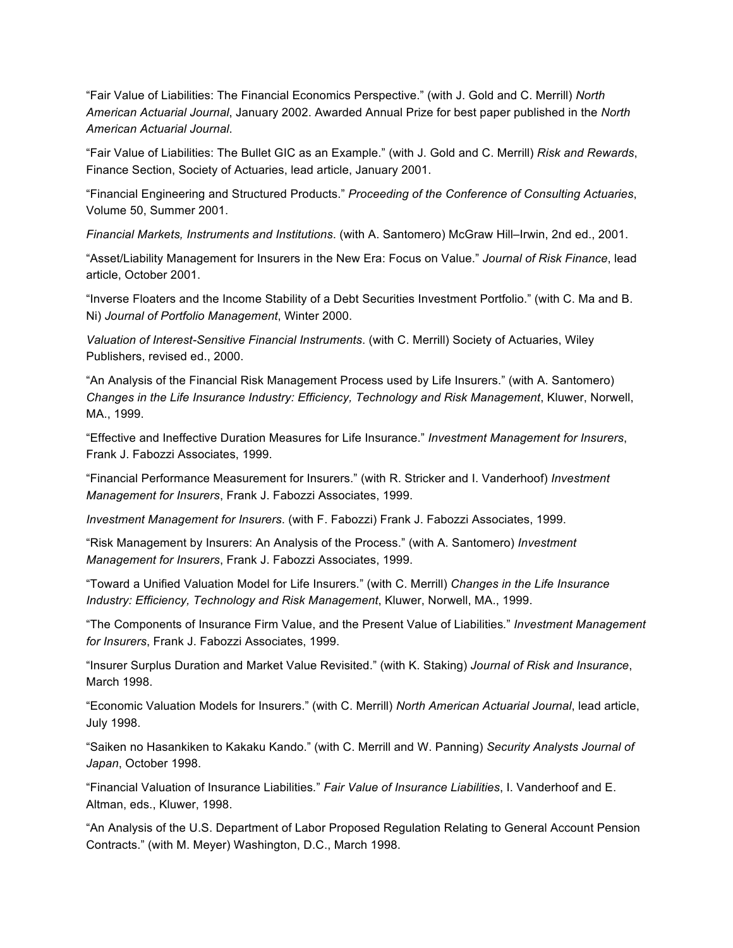"Fair Value of Liabilities: The Financial Economics Perspective." (with J. Gold and C. Merrill) *North American Actuarial Journal*, January 2002. Awarded Annual Prize for best paper published in the *North American Actuarial Journal*.

"Fair Value of Liabilities: The Bullet GIC as an Example." (with J. Gold and C. Merrill) *Risk and Rewards*, Finance Section, Society of Actuaries, lead article, January 2001.

"Financial Engineering and Structured Products." *Proceeding of the Conference of Consulting Actuaries*, Volume 50, Summer 2001.

*Financial Markets, Instruments and Institutions*. (with A. Santomero) McGraw Hill–Irwin, 2nd ed., 2001.

"Asset/Liability Management for Insurers in the New Era: Focus on Value." *Journal of Risk Finance*, lead article, October 2001.

"Inverse Floaters and the Income Stability of a Debt Securities Investment Portfolio." (with C. Ma and B. Ni) *Journal of Portfolio Management*, Winter 2000.

*Valuation of Interest-Sensitive Financial Instruments*. (with C. Merrill) Society of Actuaries, Wiley Publishers, revised ed., 2000.

"An Analysis of the Financial Risk Management Process used by Life Insurers." (with A. Santomero) *Changes in the Life Insurance Industry: Efficiency, Technology and Risk Management*, Kluwer, Norwell, MA., 1999.

"Effective and Ineffective Duration Measures for Life Insurance." *Investment Management for Insurers*, Frank J. Fabozzi Associates, 1999.

"Financial Performance Measurement for Insurers." (with R. Stricker and I. Vanderhoof) *Investment Management for Insurers*, Frank J. Fabozzi Associates, 1999.

*Investment Management for Insurers*. (with F. Fabozzi) Frank J. Fabozzi Associates, 1999.

"Risk Management by Insurers: An Analysis of the Process." (with A. Santomero) *Investment Management for Insurers*, Frank J. Fabozzi Associates, 1999.

"Toward a Unified Valuation Model for Life Insurers." (with C. Merrill) *Changes in the Life Insurance Industry: Efficiency, Technology and Risk Management*, Kluwer, Norwell, MA., 1999.

"The Components of Insurance Firm Value, and the Present Value of Liabilities*.*" *Investment Management for Insurers*, Frank J. Fabozzi Associates, 1999.

"Insurer Surplus Duration and Market Value Revisited." (with K. Staking) *Journal of Risk and Insurance*, March 1998.

"Economic Valuation Models for Insurers." (with C. Merrill) *North American Actuarial Journal*, lead article, July 1998.

"Saiken no Hasankiken to Kakaku Kando." (with C. Merrill and W. Panning) *Security Analysts Journal of Japan*, October 1998.

"Financial Valuation of Insurance Liabilities*.*" *Fair Value of Insurance Liabilities*, I. Vanderhoof and E. Altman, eds., Kluwer, 1998.

"An Analysis of the U.S. Department of Labor Proposed Regulation Relating to General Account Pension Contracts." (with M. Meyer) Washington, D.C., March 1998.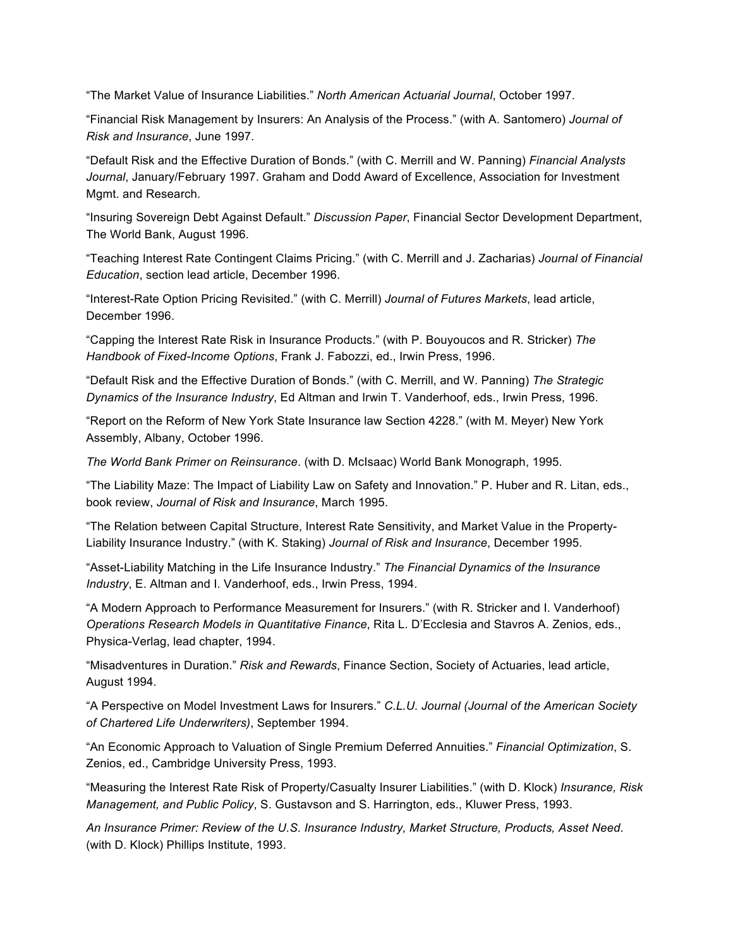"The Market Value of Insurance Liabilities." *North American Actuarial Journal*, October 1997.

"Financial Risk Management by Insurers: An Analysis of the Process." (with A. Santomero) *Journal of Risk and Insurance*, June 1997.

"Default Risk and the Effective Duration of Bonds." (with C. Merrill and W. Panning) *Financial Analysts Journal*, January/February 1997. Graham and Dodd Award of Excellence, Association for Investment Mgmt. and Research.

"Insuring Sovereign Debt Against Default." *Discussion Paper*, Financial Sector Development Department, The World Bank, August 1996.

"Teaching Interest Rate Contingent Claims Pricing." (with C. Merrill and J. Zacharias) *Journal of Financial Education*, section lead article, December 1996.

"Interest-Rate Option Pricing Revisited." (with C. Merrill) *Journal of Futures Markets*, lead article, December 1996.

"Capping the Interest Rate Risk in Insurance Products." (with P. Bouyoucos and R. Stricker) *The Handbook of Fixed-Income Options*, Frank J. Fabozzi, ed., Irwin Press, 1996.

"Default Risk and the Effective Duration of Bonds." (with C. Merrill, and W. Panning) *The Strategic Dynamics of the Insurance Industry*, Ed Altman and Irwin T. Vanderhoof, eds., Irwin Press, 1996.

"Report on the Reform of New York State Insurance law Section 4228." (with M. Meyer) New York Assembly, Albany, October 1996.

*The World Bank Primer on Reinsurance*. (with D. McIsaac) World Bank Monograph, 1995.

"The Liability Maze: The Impact of Liability Law on Safety and Innovation." P. Huber and R. Litan, eds., book review, *Journal of Risk and Insurance*, March 1995.

"The Relation between Capital Structure, Interest Rate Sensitivity, and Market Value in the Property-Liability Insurance Industry." (with K. Staking) *Journal of Risk and Insurance*, December 1995.

"Asset-Liability Matching in the Life Insurance Industry." *The Financial Dynamics of the Insurance Industry*, E. Altman and I. Vanderhoof, eds., Irwin Press, 1994.

"A Modern Approach to Performance Measurement for Insurers." (with R. Stricker and I. Vanderhoof) *Operations Research Models in Quantitative Finance*, Rita L. D'Ecclesia and Stavros A. Zenios, eds., Physica-Verlag, lead chapter, 1994.

"Misadventures in Duration." *Risk and Rewards*, Finance Section, Society of Actuaries, lead article, August 1994.

"A Perspective on Model Investment Laws for Insurers." *C.L.U. Journal (Journal of the American Society of Chartered Life Underwriters)*, September 1994.

"An Economic Approach to Valuation of Single Premium Deferred Annuities." *Financial Optimization*, S. Zenios, ed., Cambridge University Press, 1993.

"Measuring the Interest Rate Risk of Property/Casualty Insurer Liabilities." (with D. Klock) *Insurance, Risk Management, and Public Policy*, S. Gustavson and S. Harrington, eds., Kluwer Press, 1993.

*An Insurance Primer: Review of the U.S. Insurance Industry, Market Structure, Products, Asset Need*. (with D. Klock) Phillips Institute, 1993.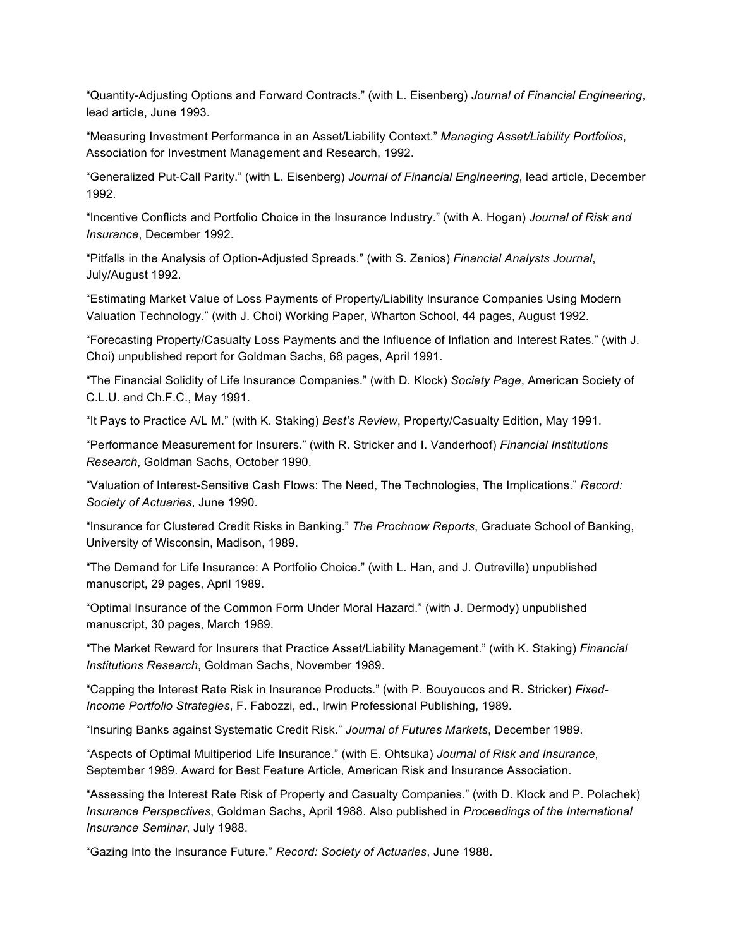"Quantity-Adjusting Options and Forward Contracts." (with L. Eisenberg) *Journal of Financial Engineering*, lead article, June 1993.

"Measuring Investment Performance in an Asset/Liability Context." *Managing Asset/Liability Portfolios*, Association for Investment Management and Research, 1992.

"Generalized Put-Call Parity." (with L. Eisenberg) *Journal of Financial Engineering*, lead article, December 1992.

"Incentive Conflicts and Portfolio Choice in the Insurance Industry." (with A. Hogan) *Journal of Risk and Insurance*, December 1992.

"Pitfalls in the Analysis of Option-Adjusted Spreads." (with S. Zenios) *Financial Analysts Journal*, July/August 1992.

"Estimating Market Value of Loss Payments of Property/Liability Insurance Companies Using Modern Valuation Technology." (with J. Choi) Working Paper, Wharton School, 44 pages, August 1992.

"Forecasting Property/Casualty Loss Payments and the Influence of Inflation and Interest Rates." (with J. Choi) unpublished report for Goldman Sachs, 68 pages, April 1991.

"The Financial Solidity of Life Insurance Companies." (with D. Klock) *Society Page*, American Society of C.L.U. and Ch.F.C., May 1991.

"It Pays to Practice A/L M." (with K. Staking) *Best's Review*, Property/Casualty Edition, May 1991.

"Performance Measurement for Insurers." (with R. Stricker and I. Vanderhoof) *Financial Institutions Research*, Goldman Sachs, October 1990.

"Valuation of Interest-Sensitive Cash Flows: The Need, The Technologies, The Implications." *Record: Society of Actuaries*, June 1990.

"Insurance for Clustered Credit Risks in Banking." *The Prochnow Reports*, Graduate School of Banking, University of Wisconsin, Madison, 1989.

"The Demand for Life Insurance: A Portfolio Choice." (with L. Han, and J. Outreville) unpublished manuscript, 29 pages, April 1989.

"Optimal Insurance of the Common Form Under Moral Hazard." (with J. Dermody) unpublished manuscript, 30 pages, March 1989.

"The Market Reward for Insurers that Practice Asset/Liability Management." (with K. Staking) *Financial Institutions Research*, Goldman Sachs, November 1989.

"Capping the Interest Rate Risk in Insurance Products." (with P. Bouyoucos and R. Stricker) *Fixed-Income Portfolio Strategies*, F. Fabozzi, ed., Irwin Professional Publishing, 1989.

"Insuring Banks against Systematic Credit Risk." *Journal of Futures Markets*, December 1989.

"Aspects of Optimal Multiperiod Life Insurance." (with E. Ohtsuka) *Journal of Risk and Insurance*, September 1989. Award for Best Feature Article, American Risk and Insurance Association.

"Assessing the Interest Rate Risk of Property and Casualty Companies." (with D. Klock and P. Polachek) *Insurance Perspectives*, Goldman Sachs, April 1988. Also published in *Proceedings of the International Insurance Seminar*, July 1988.

"Gazing Into the Insurance Future." *Record: Society of Actuaries*, June 1988.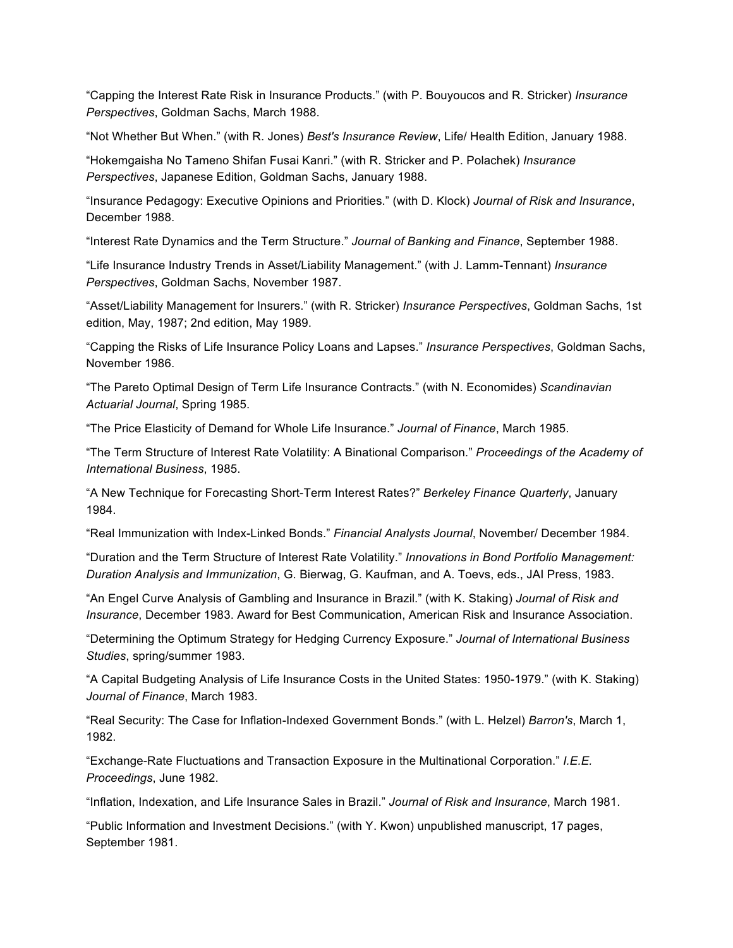"Capping the Interest Rate Risk in Insurance Products." (with P. Bouyoucos and R. Stricker) *Insurance Perspectives*, Goldman Sachs, March 1988.

"Not Whether But When." (with R. Jones) *Best's Insurance Review*, Life/ Health Edition, January 1988.

"Hokemgaisha No Tameno Shifan Fusai Kanri." (with R. Stricker and P. Polachek) *Insurance Perspectives*, Japanese Edition, Goldman Sachs, January 1988.

"Insurance Pedagogy: Executive Opinions and Priorities." (with D. Klock) *Journal of Risk and Insurance*, December 1988.

"Interest Rate Dynamics and the Term Structure." *Journal of Banking and Finance*, September 1988.

"Life Insurance Industry Trends in Asset/Liability Management." (with J. Lamm-Tennant) *Insurance Perspectives*, Goldman Sachs, November 1987.

"Asset/Liability Management for Insurers." (with R. Stricker) *Insurance Perspectives*, Goldman Sachs, 1st edition, May, 1987; 2nd edition, May 1989.

"Capping the Risks of Life Insurance Policy Loans and Lapses." *Insurance Perspectives*, Goldman Sachs, November 1986.

"The Pareto Optimal Design of Term Life Insurance Contracts." (with N. Economides) *Scandinavian Actuarial Journal*, Spring 1985.

"The Price Elasticity of Demand for Whole Life Insurance." *Journal of Finance*, March 1985.

"The Term Structure of Interest Rate Volatility: A Binational Comparison*.*" *Proceedings of the Academy of International Business*, 1985.

"A New Technique for Forecasting Short-Term Interest Rates?" *Berkeley Finance Quarterly*, January 1984.

"Real Immunization with Index-Linked Bonds." *Financial Analysts Journal*, November/ December 1984.

"Duration and the Term Structure of Interest Rate Volatility." *Innovations in Bond Portfolio Management: Duration Analysis and Immunization*, G. Bierwag, G. Kaufman, and A. Toevs, eds., JAI Press, 1983.

"An Engel Curve Analysis of Gambling and Insurance in Brazil." (with K. Staking) *Journal of Risk and Insurance*, December 1983. Award for Best Communication, American Risk and Insurance Association.

"Determining the Optimum Strategy for Hedging Currency Exposure." *Journal of International Business Studies*, spring/summer 1983.

"A Capital Budgeting Analysis of Life Insurance Costs in the United States: 1950-1979." (with K. Staking) *Journal of Finance*, March 1983.

"Real Security: The Case for Inflation-Indexed Government Bonds." (with L. Helzel) *Barron's*, March 1, 1982.

"Exchange-Rate Fluctuations and Transaction Exposure in the Multinational Corporation." *I.E.E. Proceedings*, June 1982.

"Inflation, Indexation, and Life Insurance Sales in Brazil." *Journal of Risk and Insurance*, March 1981.

"Public Information and Investment Decisions." (with Y. Kwon) unpublished manuscript, 17 pages, September 1981.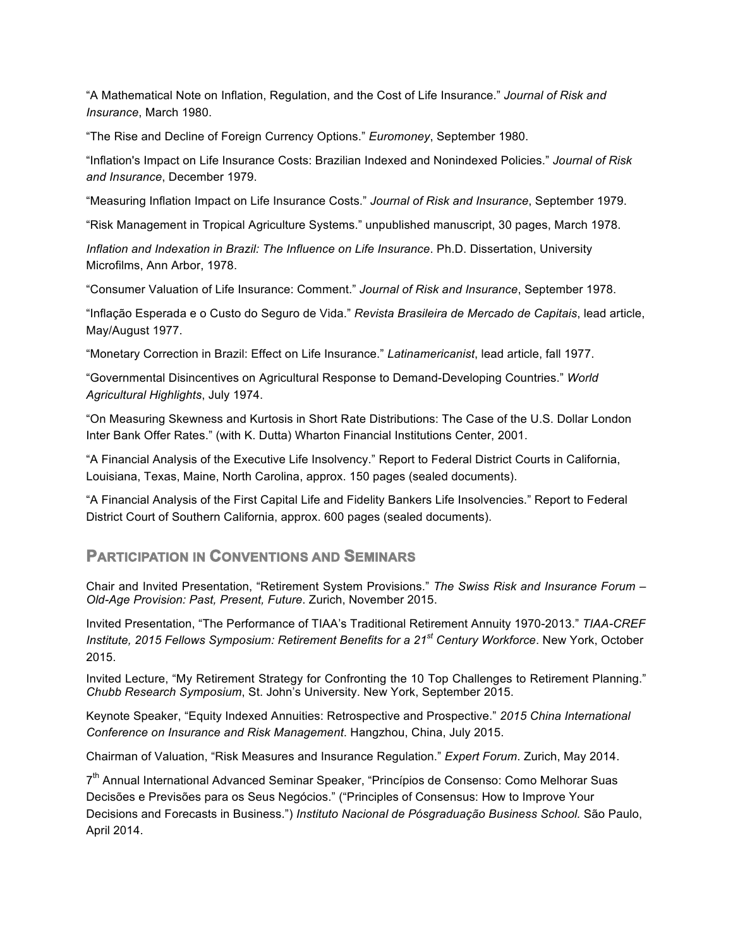"A Mathematical Note on Inflation, Regulation, and the Cost of Life Insurance." *Journal of Risk and Insurance*, March 1980.

"The Rise and Decline of Foreign Currency Options." *Euromoney*, September 1980.

"Inflation's Impact on Life Insurance Costs: Brazilian Indexed and Nonindexed Policies." *Journal of Risk and Insurance*, December 1979.

"Measuring Inflation Impact on Life Insurance Costs." *Journal of Risk and Insurance*, September 1979.

"Risk Management in Tropical Agriculture Systems." unpublished manuscript, 30 pages, March 1978.

*Inflation and Indexation in Brazil: The Influence on Life Insurance*. Ph.D. Dissertation, University Microfilms, Ann Arbor, 1978.

"Consumer Valuation of Life Insurance: Comment." *Journal of Risk and Insurance*, September 1978.

"Inflação Esperada e o Custo do Seguro de Vida." *Revista Brasileira de Mercado de Capitais*, lead article, May/August 1977.

"Monetary Correction in Brazil: Effect on Life Insurance." *Latinamericanist*, lead article, fall 1977.

"Governmental Disincentives on Agricultural Response to Demand-Developing Countries." *World Agricultural Highlights*, July 1974.

"On Measuring Skewness and Kurtosis in Short Rate Distributions: The Case of the U.S. Dollar London Inter Bank Offer Rates." (with K. Dutta) Wharton Financial Institutions Center, 2001.

"A Financial Analysis of the Executive Life Insolvency." Report to Federal District Courts in California, Louisiana, Texas, Maine, North Carolina, approx. 150 pages (sealed documents).

"A Financial Analysis of the First Capital Life and Fidelity Bankers Life Insolvencies." Report to Federal District Court of Southern California, approx. 600 pages (sealed documents).

## **PARTICIPATION IN CONVENTIONS AND SEMINARS**

Chair and Invited Presentation, "Retirement System Provisions." *The Swiss Risk and Insurance Forum – Old-Age Provision: Past, Present, Future*. Zurich, November 2015.

Invited Presentation, "The Performance of TIAA's Traditional Retirement Annuity 1970-2013." *TIAA-CREF Institute, 2015 Fellows Symposium: Retirement Benefits for a 21st Century Workforce*. New York, October 2015.

Invited Lecture, "My Retirement Strategy for Confronting the 10 Top Challenges to Retirement Planning." *Chubb Research Symposium*, St. John's University. New York, September 2015.

Keynote Speaker, "Equity Indexed Annuities: Retrospective and Prospective." *2015 China International Conference on Insurance and Risk Management*. Hangzhou, China, July 2015.

Chairman of Valuation, "Risk Measures and Insurance Regulation." *Expert Forum*. Zurich, May 2014.

7<sup>th</sup> Annual International Advanced Seminar Speaker, "Princípios de Consenso: Como Melhorar Suas Decisões e Previsões para os Seus Negócios." ("Principles of Consensus: How to Improve Your Decisions and Forecasts in Business.") *Instituto Nacional de Pósgraduação Business School.* São Paulo, April 2014.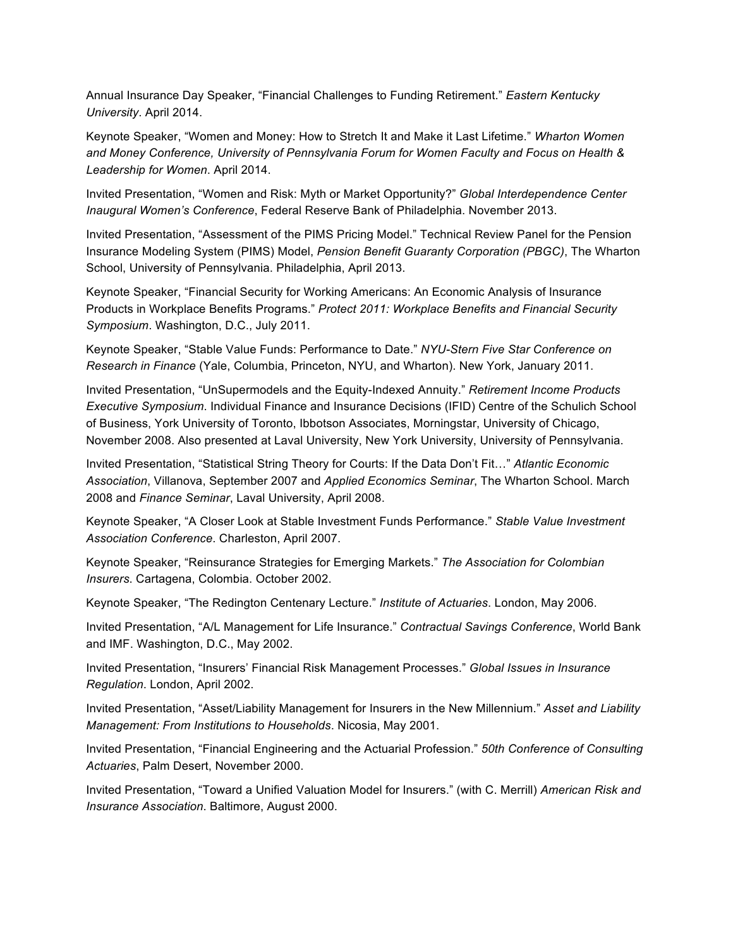Annual Insurance Day Speaker, "Financial Challenges to Funding Retirement." *Eastern Kentucky University*. April 2014.

Keynote Speaker, "Women and Money: How to Stretch It and Make it Last Lifetime." *Wharton Women and Money Conference, University of Pennsylvania Forum for Women Faculty and Focus on Health & Leadership for Women*. April 2014.

Invited Presentation, "Women and Risk: Myth or Market Opportunity?" *Global Interdependence Center Inaugural Women's Conference*, Federal Reserve Bank of Philadelphia. November 2013.

Invited Presentation, "Assessment of the PIMS Pricing Model." Technical Review Panel for the Pension Insurance Modeling System (PIMS) Model, *Pension Benefit Guaranty Corporation (PBGC)*, The Wharton School, University of Pennsylvania. Philadelphia, April 2013.

Keynote Speaker, "Financial Security for Working Americans: An Economic Analysis of Insurance Products in Workplace Benefits Programs." *Protect 2011: Workplace Benefits and Financial Security Symposium*. Washington, D.C., July 2011.

Keynote Speaker, "Stable Value Funds: Performance to Date." *NYU-Stern Five Star Conference on Research in Finance* (Yale, Columbia, Princeton, NYU, and Wharton). New York, January 2011.

Invited Presentation, "UnSupermodels and the Equity-Indexed Annuity." *Retirement Income Products Executive Symposium*. Individual Finance and Insurance Decisions (IFID) Centre of the Schulich School of Business, York University of Toronto, Ibbotson Associates, Morningstar, University of Chicago, November 2008. Also presented at Laval University, New York University, University of Pennsylvania.

Invited Presentation, "Statistical String Theory for Courts: If the Data Don't Fit…" *Atlantic Economic Association*, Villanova, September 2007 and *Applied Economics Seminar*, The Wharton School. March 2008 and *Finance Seminar*, Laval University, April 2008.

Keynote Speaker, "A Closer Look at Stable Investment Funds Performance." *Stable Value Investment Association Conference*. Charleston, April 2007.

Keynote Speaker, "Reinsurance Strategies for Emerging Markets." *The Association for Colombian Insurers*. Cartagena, Colombia. October 2002.

Keynote Speaker, "The Redington Centenary Lecture." *Institute of Actuaries*. London, May 2006.

Invited Presentation, "A/L Management for Life Insurance." *Contractual Savings Conference*, World Bank and IMF. Washington, D.C., May 2002.

Invited Presentation, "Insurers' Financial Risk Management Processes." *Global Issues in Insurance Regulation*. London, April 2002.

Invited Presentation, "Asset/Liability Management for Insurers in the New Millennium." *Asset and Liability Management: From Institutions to Households*. Nicosia, May 2001.

Invited Presentation, "Financial Engineering and the Actuarial Profession." *50th Conference of Consulting Actuaries*, Palm Desert, November 2000.

Invited Presentation, "Toward a Unified Valuation Model for Insurers." (with C. Merrill) *American Risk and Insurance Association*. Baltimore, August 2000.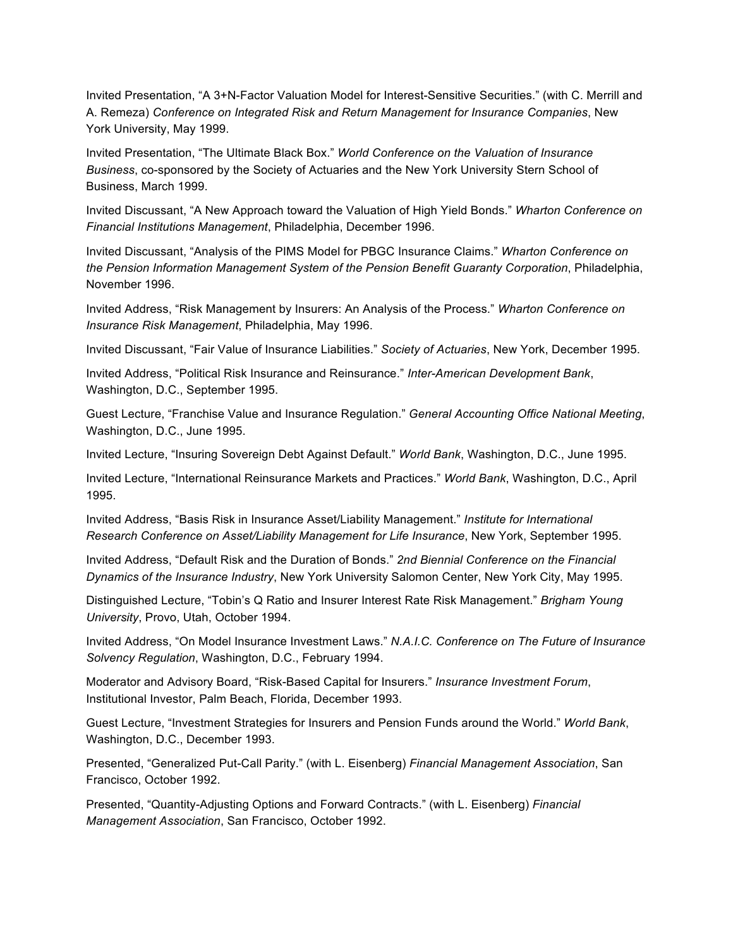Invited Presentation, "A 3+N-Factor Valuation Model for Interest-Sensitive Securities." (with C. Merrill and A. Remeza) *Conference on Integrated Risk and Return Management for Insurance Companies*, New York University, May 1999.

Invited Presentation, "The Ultimate Black Box." *World Conference on the Valuation of Insurance Business*, co-sponsored by the Society of Actuaries and the New York University Stern School of Business, March 1999.

Invited Discussant, "A New Approach toward the Valuation of High Yield Bonds." *Wharton Conference on Financial Institutions Management*, Philadelphia, December 1996.

Invited Discussant, "Analysis of the PIMS Model for PBGC Insurance Claims." *Wharton Conference on the Pension Information Management System of the Pension Benefit Guaranty Corporation*, Philadelphia, November 1996.

Invited Address, "Risk Management by Insurers: An Analysis of the Process." *Wharton Conference on Insurance Risk Management*, Philadelphia, May 1996.

Invited Discussant, "Fair Value of Insurance Liabilities." *Society of Actuaries*, New York, December 1995.

Invited Address, "Political Risk Insurance and Reinsurance." *Inter-American Development Bank*, Washington, D.C., September 1995.

Guest Lecture, "Franchise Value and Insurance Regulation." *General Accounting Office National Meeting*, Washington, D.C., June 1995.

Invited Lecture, "Insuring Sovereign Debt Against Default." *World Bank*, Washington, D.C., June 1995.

Invited Lecture, "International Reinsurance Markets and Practices." *World Bank*, Washington, D.C., April 1995.

Invited Address, "Basis Risk in Insurance Asset/Liability Management." *Institute for International Research Conference on Asset/Liability Management for Life Insurance*, New York, September 1995.

Invited Address, "Default Risk and the Duration of Bonds." *2nd Biennial Conference on the Financial Dynamics of the Insurance Industry*, New York University Salomon Center, New York City, May 1995.

Distinguished Lecture, "Tobin's Q Ratio and Insurer Interest Rate Risk Management." *Brigham Young University*, Provo, Utah, October 1994.

Invited Address, "On Model Insurance Investment Laws." *N.A.I.C. Conference on The Future of Insurance Solvency Regulation*, Washington, D.C., February 1994.

Moderator and Advisory Board, "Risk-Based Capital for Insurers." *Insurance Investment Forum*, Institutional Investor, Palm Beach, Florida, December 1993.

Guest Lecture, "Investment Strategies for Insurers and Pension Funds around the World." *World Bank*, Washington, D.C., December 1993.

Presented, "Generalized Put-Call Parity." (with L. Eisenberg) *Financial Management Association*, San Francisco, October 1992.

Presented, "Quantity-Adjusting Options and Forward Contracts." (with L. Eisenberg) *Financial Management Association*, San Francisco, October 1992.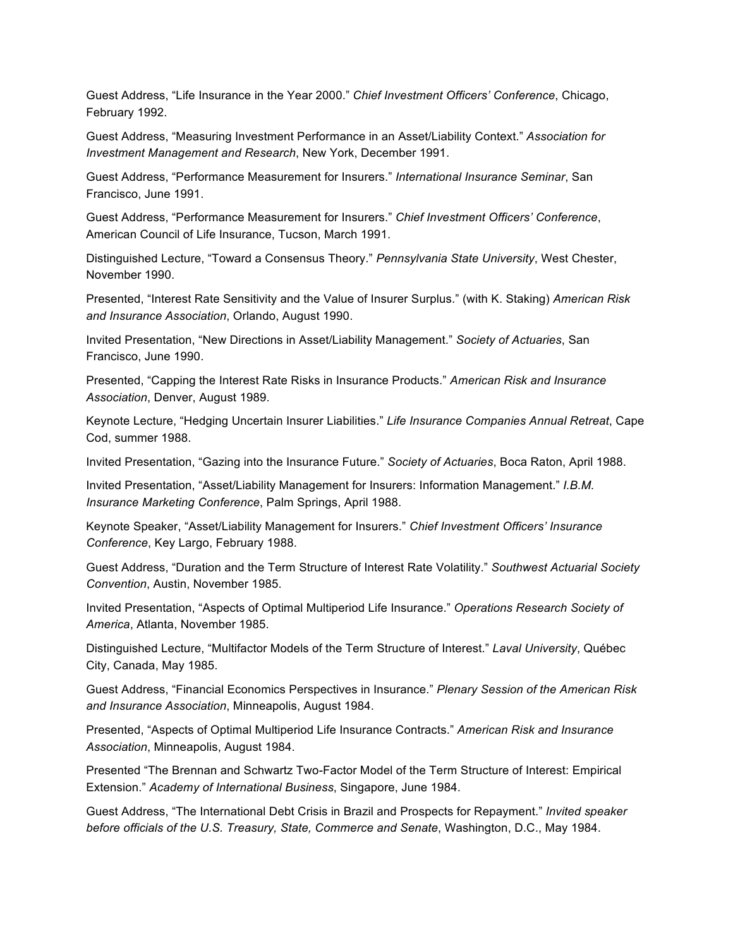Guest Address, "Life Insurance in the Year 2000." *Chief Investment Officers' Conference*, Chicago, February 1992.

Guest Address, "Measuring Investment Performance in an Asset/Liability Context." *Association for Investment Management and Research*, New York, December 1991.

Guest Address, "Performance Measurement for Insurers." *International Insurance Seminar*, San Francisco, June 1991.

Guest Address, "Performance Measurement for Insurers." *Chief Investment Officers' Conference*, American Council of Life Insurance, Tucson, March 1991.

Distinguished Lecture, "Toward a Consensus Theory." *Pennsylvania State University*, West Chester, November 1990.

Presented, "Interest Rate Sensitivity and the Value of Insurer Surplus." (with K. Staking) *American Risk and Insurance Association*, Orlando, August 1990.

Invited Presentation, "New Directions in Asset/Liability Management." *Society of Actuaries*, San Francisco, June 1990.

Presented, "Capping the Interest Rate Risks in Insurance Products." *American Risk and Insurance Association*, Denver, August 1989.

Keynote Lecture, "Hedging Uncertain Insurer Liabilities." *Life Insurance Companies Annual Retreat*, Cape Cod, summer 1988.

Invited Presentation, "Gazing into the Insurance Future." *Society of Actuaries*, Boca Raton, April 1988.

Invited Presentation, "Asset/Liability Management for Insurers: Information Management." *I.B.M. Insurance Marketing Conference*, Palm Springs, April 1988.

Keynote Speaker, "Asset/Liability Management for Insurers." *Chief Investment Officers' Insurance Conference*, Key Largo, February 1988.

Guest Address, "Duration and the Term Structure of Interest Rate Volatility." *Southwest Actuarial Society Convention*, Austin, November 1985.

Invited Presentation, "Aspects of Optimal Multiperiod Life Insurance." *Operations Research Society of America*, Atlanta, November 1985.

Distinguished Lecture, "Multifactor Models of the Term Structure of Interest." *Laval University*, Québec City, Canada, May 1985.

Guest Address, "Financial Economics Perspectives in Insurance." *Plenary Session of the American Risk and Insurance Association*, Minneapolis, August 1984.

Presented, "Aspects of Optimal Multiperiod Life Insurance Contracts." *American Risk and Insurance Association*, Minneapolis, August 1984.

Presented "The Brennan and Schwartz Two-Factor Model of the Term Structure of Interest: Empirical Extension." *Academy of International Business*, Singapore, June 1984.

Guest Address, "The International Debt Crisis in Brazil and Prospects for Repayment." *Invited speaker before officials of the U.S. Treasury, State, Commerce and Senate*, Washington, D.C., May 1984.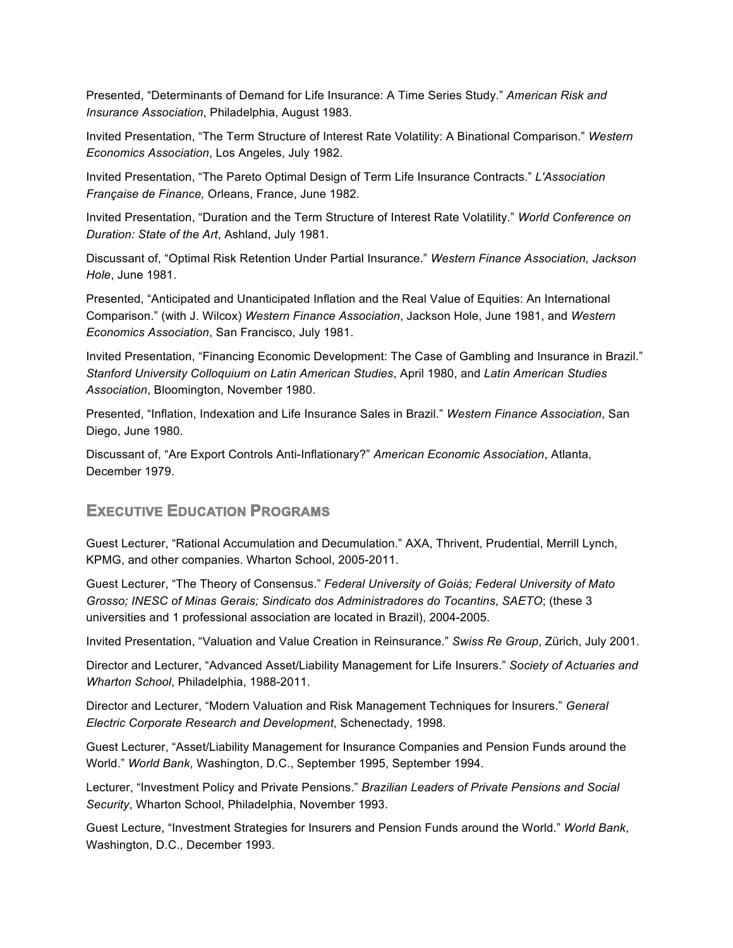Presented, "Determinants of Demand for Life Insurance: A Time Series Study*.*" *American Risk and Insurance Association*, Philadelphia, August 1983.

Invited Presentation, "The Term Structure of Interest Rate Volatility: A Binational Comparison." *Western Economics Association*, Los Angeles, July 1982.

Invited Presentation, "The Pareto Optimal Design of Term Life Insurance Contracts." *L'Association Française de Finance,* Orleans, France, June 1982.

Invited Presentation, "Duration and the Term Structure of Interest Rate Volatility." *World Conference on Duration: State of the Art*, Ashland, July 1981.

Discussant of, "Optimal Risk Retention Under Partial Insurance." *Western Finance Association, Jackson Hole*, June 1981.

Presented, "Anticipated and Unanticipated Inflation and the Real Value of Equities: An International Comparison." (with J. Wilcox) *Western Finance Association*, Jackson Hole, June 1981, and *Western Economics Association*, San Francisco, July 1981.

Invited Presentation, "Financing Economic Development: The Case of Gambling and Insurance in Brazil." *Stanford University Colloquium on Latin American Studies*, April 1980, and *Latin American Studies Association*, Bloomington, November 1980.

Presented, "Inflation, Indexation and Life Insurance Sales in Brazil." *Western Finance Association*, San Diego, June 1980.

Discussant of, "Are Export Controls Anti-Inflationary?" *American Economic Association*, Atlanta, December 1979.

## **EXECUTIVE EDUCATION PROGRAMS**

Guest Lecturer, "Rational Accumulation and Decumulation." AXA, Thrivent, Prudential, Merrill Lynch, KPMG, and other companies. Wharton School, 2005-2011.

Guest Lecturer, "The Theory of Consensus." *Federal University of Goiás; Federal University of Mato Grosso; INESC of Minas Gerais; Sindicato dos Administradores do Tocantins*, *SAETO*; (these 3 universities and 1 professional association are located in Brazil), 2004-2005.

Invited Presentation, "Valuation and Value Creation in Reinsurance." *Swiss Re Group*, Zürich, July 2001.

Director and Lecturer, "Advanced Asset/Liability Management for Life Insurers." *Society of Actuaries and Wharton School*, Philadelphia, 1988-2011.

Director and Lecturer, "Modern Valuation and Risk Management Techniques for Insurers." *General Electric Corporate Research and Development*, Schenectady, 1998.

Guest Lecturer, "Asset/Liability Management for Insurance Companies and Pension Funds around the World." *World Bank*, Washington, D.C., September 1995, September 1994.

Lecturer, "Investment Policy and Private Pensions." *Brazilian Leaders of Private Pensions and Social Security*, Wharton School, Philadelphia, November 1993.

Guest Lecture, "Investment Strategies for Insurers and Pension Funds around the World." *World Bank*, Washington, D.C., December 1993.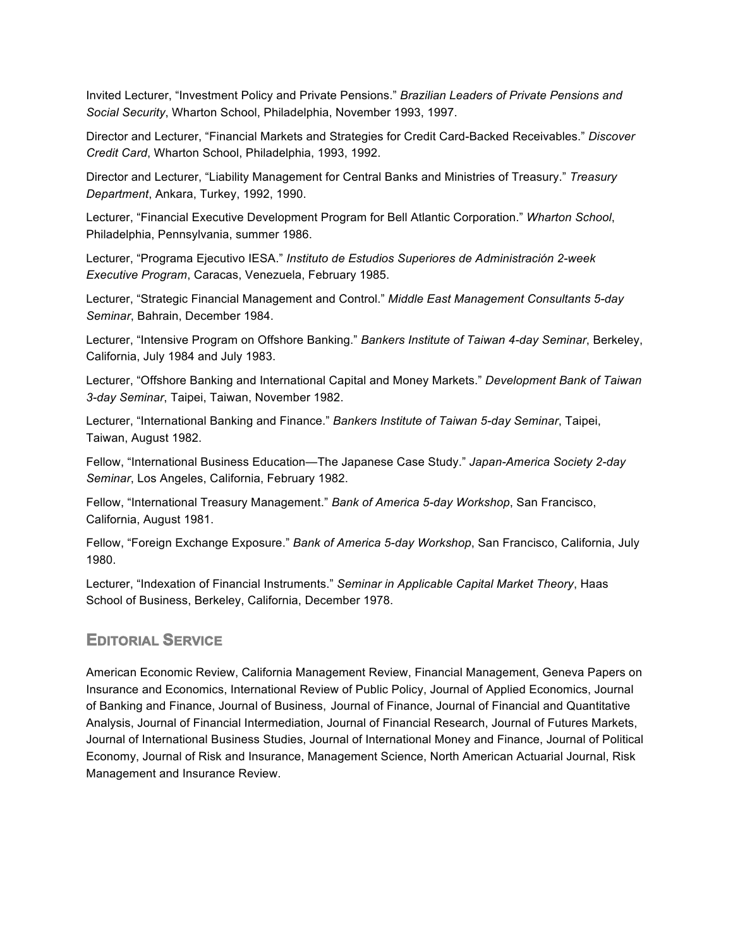Invited Lecturer, "Investment Policy and Private Pensions." *Brazilian Leaders of Private Pensions and Social Security*, Wharton School, Philadelphia, November 1993, 1997.

Director and Lecturer, "Financial Markets and Strategies for Credit Card-Backed Receivables." *Discover Credit Card*, Wharton School, Philadelphia, 1993, 1992.

Director and Lecturer, "Liability Management for Central Banks and Ministries of Treasury." *Treasury Department*, Ankara, Turkey, 1992, 1990.

Lecturer, "Financial Executive Development Program for Bell Atlantic Corporation." *Wharton School*, Philadelphia, Pennsylvania, summer 1986.

Lecturer, "Programa Ejecutivo IESA." *Instituto de Estudios Superiores de Administración 2-week Executive Program*, Caracas, Venezuela, February 1985.

Lecturer, "Strategic Financial Management and Control." *Middle East Management Consultants 5-day Seminar*, Bahrain, December 1984.

Lecturer, "Intensive Program on Offshore Banking." *Bankers Institute of Taiwan 4-day Seminar*, Berkeley, California, July 1984 and July 1983.

Lecturer, "Offshore Banking and International Capital and Money Markets." *Development Bank of Taiwan 3-day Seminar*, Taipei, Taiwan, November 1982.

Lecturer, "International Banking and Finance." *Bankers Institute of Taiwan 5-day Seminar*, Taipei, Taiwan, August 1982.

Fellow, "International Business Education—The Japanese Case Study." *Japan-America Society 2-day Seminar*, Los Angeles, California, February 1982.

Fellow, "International Treasury Management." *Bank of America 5-day Workshop*, San Francisco, California, August 1981.

Fellow, "Foreign Exchange Exposure." *Bank of America 5-day Workshop*, San Francisco, California, July 1980.

Lecturer, "Indexation of Financial Instruments." *Seminar in Applicable Capital Market Theory*, Haas School of Business, Berkeley, California, December 1978.

### **EDITORIAL SERVICE**

American Economic Review, California Management Review, Financial Management, Geneva Papers on Insurance and Economics, International Review of Public Policy, Journal of Applied Economics, Journal of Banking and Finance, Journal of Business, Journal of Finance, Journal of Financial and Quantitative Analysis, Journal of Financial Intermediation, Journal of Financial Research, Journal of Futures Markets, Journal of International Business Studies, Journal of International Money and Finance, Journal of Political Economy, Journal of Risk and Insurance, Management Science, North American Actuarial Journal, Risk Management and Insurance Review.